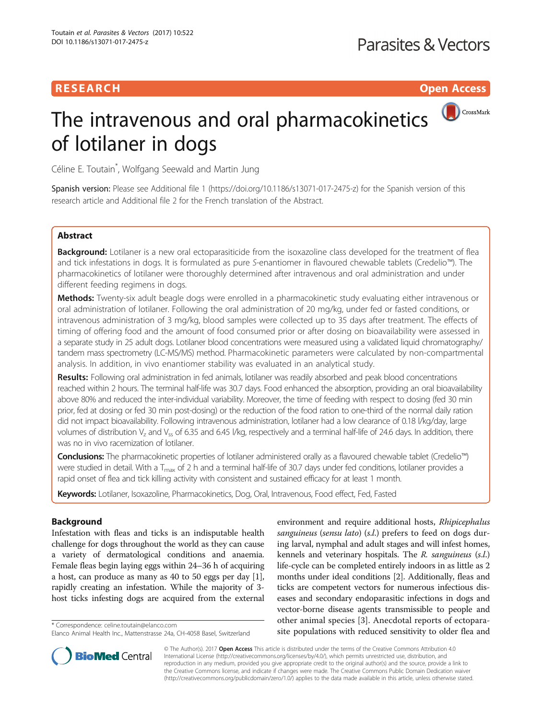## **RESEARCH CHE Open Access**

# CrossMark The intravenous and oral pharmacokinetics of lotilaner in dogs

Céline E. Toutain\* , Wolfgang Seewald and Martin Jung

Spanish version: Please see Additional file [1](#page-6-0) ([https://doi.org/10.1186/s13071-017-2475-z\)](https://doi.org/10.1186/s13071-017-2475-z) for the Spanish version of this research article and Additional file [2](#page-6-0) for the French translation of the Abstract.

## **Abstract**

Background: Lotilaner is a new oral ectoparasiticide from the isoxazoline class developed for the treatment of flea and tick infestations in dogs. It is formulated as pure S-enantiomer in flavoured chewable tablets (Credelio™). The pharmacokinetics of lotilaner were thoroughly determined after intravenous and oral administration and under different feeding regimens in dogs.

Methods: Twenty-six adult beagle dogs were enrolled in a pharmacokinetic study evaluating either intravenous or oral administration of lotilaner. Following the oral administration of 20 mg/kg, under fed or fasted conditions, or intravenous administration of 3 mg/kg, blood samples were collected up to 35 days after treatment. The effects of timing of offering food and the amount of food consumed prior or after dosing on bioavailability were assessed in a separate study in 25 adult dogs. Lotilaner blood concentrations were measured using a validated liquid chromatography/ tandem mass spectrometry (LC-MS/MS) method. Pharmacokinetic parameters were calculated by non-compartmental analysis. In addition, in vivo enantiomer stability was evaluated in an analytical study.

Results: Following oral administration in fed animals, lotilaner was readily absorbed and peak blood concentrations reached within 2 hours. The terminal half-life was 30.7 days. Food enhanced the absorption, providing an oral bioavailability above 80% and reduced the inter-individual variability. Moreover, the time of feeding with respect to dosing (fed 30 min prior, fed at dosing or fed 30 min post-dosing) or the reduction of the food ration to one-third of the normal daily ration did not impact bioavailability. Following intravenous administration, lotilaner had a low clearance of 0.18 l/kg/day, large volumes of distribution  $V_z$  and  $V_{ss}$  of 6.35 and 6.45 *l/kg, respectively and a terminal half-life of 24.6 days. In addition, there* was no in vivo racemization of lotilaner.

Conclusions: The pharmacokinetic properties of lotilaner administered orally as a flavoured chewable tablet (Credelio™) were studied in detail. With a  $T_{\text{max}}$  of 2 h and a terminal half-life of 30.7 days under fed conditions, lotilaner provides a rapid onset of flea and tick killing activity with consistent and sustained efficacy for at least 1 month.

Keywords: Lotilaner, Isoxazoline, Pharmacokinetics, Dog, Oral, Intravenous, Food effect, Fed, Fasted

### Background

Infestation with fleas and ticks is an indisputable health challenge for dogs throughout the world as they can cause a variety of dermatological conditions and anaemia. Female fleas begin laying eggs within 24–36 h of acquiring a host, can produce as many as 40 to 50 eggs per day [[1](#page-7-0)], rapidly creating an infestation. While the majority of 3 host ticks infesting dogs are acquired from the external

environment and require additional hosts, Rhipicephalus sanguineus (sensu lato) (s.l.) prefers to feed on dogs during larval, nymphal and adult stages and will infest homes, kennels and veterinary hospitals. The R. sanguineus (s.l.) life-cycle can be completed entirely indoors in as little as 2 months under ideal conditions [\[2](#page-7-0)]. Additionally, fleas and ticks are competent vectors for numerous infectious diseases and secondary endoparasitic infections in dogs and vector-borne disease agents transmissible to people and other animal species [\[3](#page-7-0)]. Anecdotal reports of ectoparasite populations with reduced sensitivity to older flea and \* Correspondence: [celine.toutain@elanco.com](mailto:celine.toutain@elanco.com)



© The Author(s). 2017 **Open Access** This article is distributed under the terms of the Creative Commons Attribution 4.0 International License [\(http://creativecommons.org/licenses/by/4.0/](http://creativecommons.org/licenses/by/4.0/)), which permits unrestricted use, distribution, and reproduction in any medium, provided you give appropriate credit to the original author(s) and the source, provide a link to the Creative Commons license, and indicate if changes were made. The Creative Commons Public Domain Dedication waiver [\(http://creativecommons.org/publicdomain/zero/1.0/](http://creativecommons.org/publicdomain/zero/1.0/)) applies to the data made available in this article, unless otherwise stated.

Elanco Animal Health Inc., Mattenstrasse 24a, CH-4058 Basel, Switzerland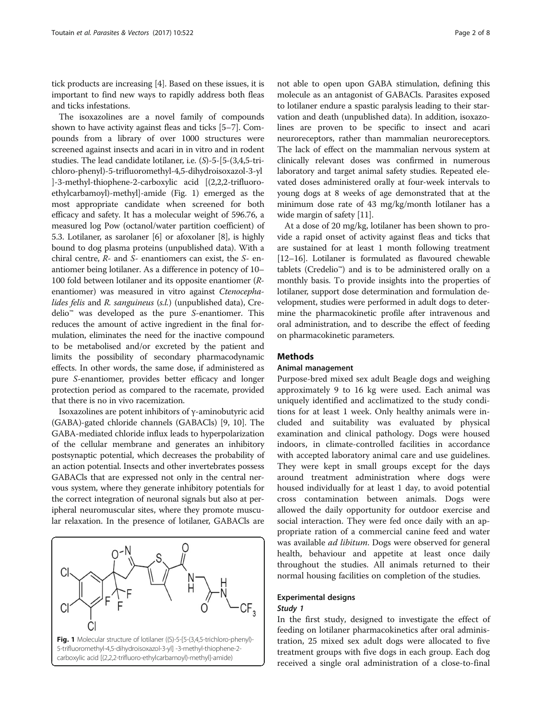tick products are increasing [\[4\]](#page-7-0). Based on these issues, it is important to find new ways to rapidly address both fleas and ticks infestations.

The isoxazolines are a novel family of compounds shown to have activity against fleas and ticks [[5](#page-7-0)–[7](#page-7-0)]. Compounds from a library of over 1000 structures were screened against insects and acari in in vitro and in rodent studies. The lead candidate lotilaner, i.e. (S)-5-[5-(3,4,5-trichloro-phenyl)-5-trifluoromethyl-4,5-dihydroisoxazol-3-yl ]-3-methyl-thiophene-2-carboxylic acid [(2,2,2-trifluoroethylcarbamoyl)-methyl]-amide (Fig. 1) emerged as the most appropriate candidate when screened for both efficacy and safety. It has a molecular weight of 596.76, a measured log Pow (octanol/water partition coefficient) of 5.3. Lotilaner, as sarolaner [\[6](#page-7-0)] or afoxolaner [[8\]](#page-7-0), is highly bound to dog plasma proteins (unpublished data). With a chiral centre, R- and S- enantiomers can exist, the S- enantiomer being lotilaner. As a difference in potency of 10– 100 fold between lotilaner and its opposite enantiomer (Renantiomer) was measured in vitro against Ctenocephalides felis and R. sanguineus (s.l.) (unpublished data), Credelio™ was developed as the pure S-enantiomer. This reduces the amount of active ingredient in the final formulation, eliminates the need for the inactive compound to be metabolised and/or excreted by the patient and limits the possibility of secondary pharmacodynamic effects. In other words, the same dose, if administered as pure S-enantiomer, provides better efficacy and longer protection period as compared to the racemate, provided that there is no in vivo racemization.

Isoxazolines are potent inhibitors of γ-aminobutyric acid (GABA)-gated chloride channels (GABACls) [\[9](#page-7-0), [10\]](#page-7-0). The GABA-mediated chloride influx leads to hyperpolarization of the cellular membrane and generates an inhibitory postsynaptic potential, which decreases the probability of an action potential. Insects and other invertebrates possess GABACls that are expressed not only in the central nervous system, where they generate inhibitory potentials for the correct integration of neuronal signals but also at peripheral neuromuscular sites, where they promote muscular relaxation. In the presence of lotilaner, GABACls are



not able to open upon GABA stimulation, defining this molecule as an antagonist of GABACls. Parasites exposed to lotilaner endure a spastic paralysis leading to their starvation and death (unpublished data). In addition, isoxazolines are proven to be specific to insect and acari neuroreceptors, rather than mammalian neuroreceptors. The lack of effect on the mammalian nervous system at clinically relevant doses was confirmed in numerous laboratory and target animal safety studies. Repeated elevated doses administered orally at four-week intervals to young dogs at 8 weeks of age demonstrated that at the minimum dose rate of 43 mg/kg/month lotilaner has a wide margin of safety [[11](#page-7-0)].

At a dose of 20 mg/kg, lotilaner has been shown to provide a rapid onset of activity against fleas and ticks that are sustained for at least 1 month following treatment [[12](#page-7-0)–[16\]](#page-7-0). Lotilaner is formulated as flavoured chewable tablets (Credelio™) and is to be administered orally on a monthly basis. To provide insights into the properties of lotilaner, support dose determination and formulation development, studies were performed in adult dogs to determine the pharmacokinetic profile after intravenous and oral administration, and to describe the effect of feeding on pharmacokinetic parameters.

#### Methods

#### Animal management

Purpose-bred mixed sex adult Beagle dogs and weighing approximately 9 to 16 kg were used. Each animal was uniquely identified and acclimatized to the study conditions for at least 1 week. Only healthy animals were included and suitability was evaluated by physical examination and clinical pathology. Dogs were housed indoors, in climate-controlled facilities in accordance with accepted laboratory animal care and use guidelines. They were kept in small groups except for the days around treatment administration where dogs were housed individually for at least 1 day, to avoid potential cross contamination between animals. Dogs were allowed the daily opportunity for outdoor exercise and social interaction. They were fed once daily with an appropriate ration of a commercial canine feed and water was available ad libitum. Dogs were observed for general health, behaviour and appetite at least once daily throughout the studies. All animals returned to their normal housing facilities on completion of the studies.

## Experimental designs

## Study 1

In the first study, designed to investigate the effect of feeding on lotilaner pharmacokinetics after oral administration, 25 mixed sex adult dogs were allocated to five treatment groups with five dogs in each group. Each dog received a single oral administration of a close-to-final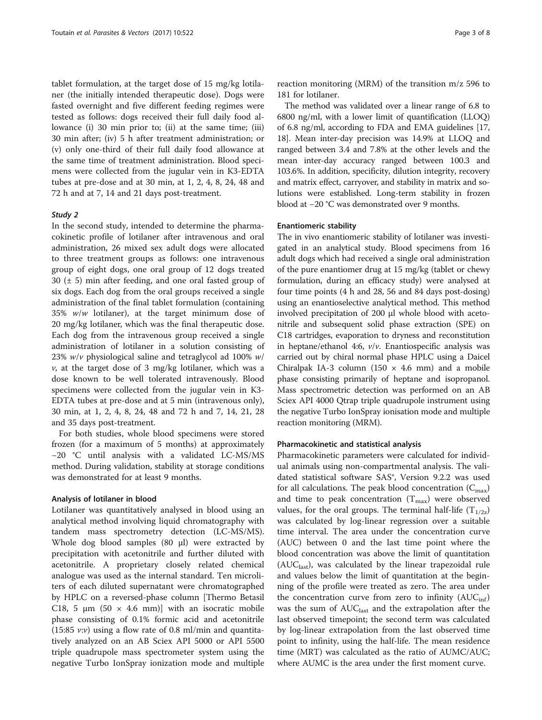tablet formulation, at the target dose of 15 mg/kg lotilaner (the initially intended therapeutic dose). Dogs were fasted overnight and five different feeding regimes were tested as follows: dogs received their full daily food allowance (i) 30 min prior to; (ii) at the same time; (iii) 30 min after; (iv) 5 h after treatment administration; or (v) only one-third of their full daily food allowance at the same time of treatment administration. Blood specimens were collected from the jugular vein in K3-EDTA tubes at pre-dose and at 30 min, at 1, 2, 4, 8, 24, 48 and 72 h and at 7, 14 and 21 days post-treatment.

#### Study 2

In the second study, intended to determine the pharmacokinetic profile of lotilaner after intravenous and oral administration, 26 mixed sex adult dogs were allocated to three treatment groups as follows: one intravenous group of eight dogs, one oral group of 12 dogs treated 30  $(\pm 5)$  min after feeding, and one oral fasted group of six dogs. Each dog from the oral groups received a single administration of the final tablet formulation (containing 35%  $w/w$  lotilaner), at the target minimum dose of 20 mg/kg lotilaner, which was the final therapeutic dose. Each dog from the intravenous group received a single administration of lotilaner in a solution consisting of 23%  $w/v$  physiological saline and tetraglycol ad 100%  $w/v$  $\nu$ , at the target dose of 3 mg/kg lotilaner, which was a dose known to be well tolerated intravenously. Blood specimens were collected from the jugular vein in K3- EDTA tubes at pre-dose and at 5 min (intravenous only), 30 min, at 1, 2, 4, 8, 24, 48 and 72 h and 7, 14, 21, 28 and 35 days post-treatment.

For both studies, whole blood specimens were stored frozen (for a maximum of 5 months) at approximately −20 °C until analysis with a validated LC-MS/MS method. During validation, stability at storage conditions was demonstrated for at least 9 months.

#### Analysis of lotilaner in blood

Lotilaner was quantitatively analysed in blood using an analytical method involving liquid chromatography with tandem mass spectrometry detection (LC-MS/MS). Whole dog blood samples (80 μl) were extracted by precipitation with acetonitrile and further diluted with acetonitrile. A proprietary closely related chemical analogue was used as the internal standard. Ten microliters of each diluted supernatant were chromatographed by HPLC on a reversed-phase column [Thermo Betasil C18, 5  $\mu$ m (50  $\times$  4.6 mm)] with an isocratic mobile phase consisting of 0.1% formic acid and acetonitrile  $(15:85 \nu \cdot \nu)$  using a flow rate of 0.8 ml/min and quantitatively analyzed on an AB Sciex API 5000 or API 5500 triple quadrupole mass spectrometer system using the negative Turbo IonSpray ionization mode and multiple reaction monitoring (MRM) of the transition m/z 596 to 181 for lotilaner.

The method was validated over a linear range of 6.8 to 6800 ng/ml, with a lower limit of quantification (LLOQ) of 6.8 ng/ml, according to FDA and EMA guidelines [[17](#page-7-0), [18](#page-7-0)]. Mean inter-day precision was 14.9% at LLOQ and ranged between 3.4 and 7.8% at the other levels and the mean inter-day accuracy ranged between 100.3 and 103.6%. In addition, specificity, dilution integrity, recovery and matrix effect, carryover, and stability in matrix and solutions were established. Long-term stability in frozen blood at −20 °C was demonstrated over 9 months.

#### Enantiomeric stability

The in vivo enantiomeric stability of lotilaner was investigated in an analytical study. Blood specimens from 16 adult dogs which had received a single oral administration of the pure enantiomer drug at 15 mg/kg (tablet or chewy formulation, during an efficacy study) were analysed at four time points (4 h and 28, 56 and 84 days post-dosing) using an enantioselective analytical method. This method involved precipitation of 200 μl whole blood with acetonitrile and subsequent solid phase extraction (SPE) on C18 cartridges, evaporation to dryness and reconstitution in heptane/ethanol 4:6,  $v/v$ . Enantiospecific analysis was carried out by chiral normal phase HPLC using a Daicel Chiralpak IA-3 column (150  $\times$  4.6 mm) and a mobile phase consisting primarily of heptane and isopropanol. Mass spectrometric detection was performed on an AB Sciex API 4000 Qtrap triple quadrupole instrument using the negative Turbo IonSpray ionisation mode and multiple reaction monitoring (MRM).

#### Pharmacokinetic and statistical analysis

Pharmacokinetic parameters were calculated for individual animals using non-compartmental analysis. The validated statistical software SAS®, Version 9.2.2 was used for all calculations. The peak blood concentration  $(C_{\text{max}})$ and time to peak concentration  $(T_{max})$  were observed values, for the oral groups. The terminal half-life  $(T_{1/2z})$ was calculated by log-linear regression over a suitable time interval. The area under the concentration curve (AUC) between 0 and the last time point where the blood concentration was above the limit of quantitation  $(AUC<sub>last</sub>)$ , was calculated by the linear trapezoidal rule and values below the limit of quantitation at the beginning of the profile were treated as zero. The area under the concentration curve from zero to infinity  $(AUC_{\text{inf}})$ was the sum of  $AUC<sub>last</sub>$  and the extrapolation after the last observed timepoint; the second term was calculated by log-linear extrapolation from the last observed time point to infinity, using the half-life. The mean residence time (MRT) was calculated as the ratio of AUMC/AUC; where AUMC is the area under the first moment curve.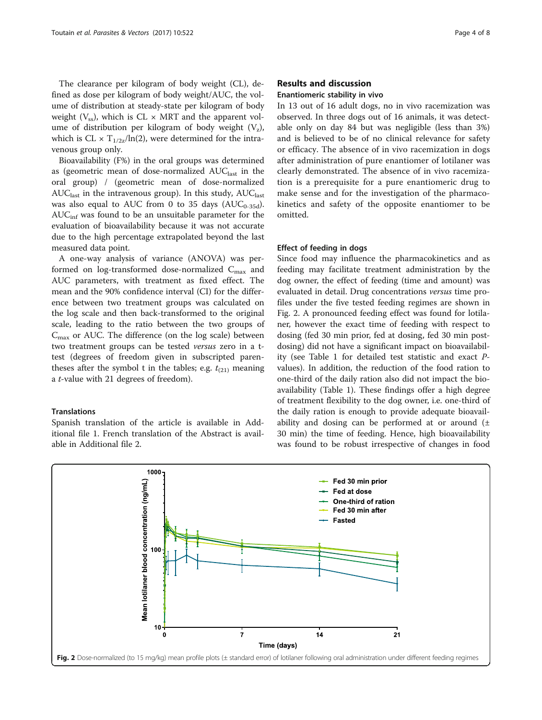The clearance per kilogram of body weight (CL), defined as dose per kilogram of body weight/AUC, the volume of distribution at steady-state per kilogram of body weight  $(V_{ss})$ , which is CL  $\times$  MRT and the apparent volume of distribution per kilogram of body weight  $(V_z)$ , which is CL  $\times$  T<sub>1/2z</sub>/ln(2), were determined for the intravenous group only.

Bioavailability (F%) in the oral groups was determined as (geometric mean of dose-normalized  $AUC<sub>last</sub>$  in the oral group) / (geometric mean of dose-normalized  $AUC<sub>last</sub>$  in the intravenous group). In this study,  $AUC<sub>last</sub>$ was also equal to AUC from 0 to 35 days ( $AUC_{0-35d}$ ).  $AUC<sub>inf</sub>$  was found to be an unsuitable parameter for the evaluation of bioavailability because it was not accurate due to the high percentage extrapolated beyond the last measured data point.

A one-way analysis of variance (ANOVA) was performed on log-transformed dose-normalized  $C_{\text{max}}$  and AUC parameters, with treatment as fixed effect. The mean and the 90% confidence interval (CI) for the difference between two treatment groups was calculated on the log scale and then back-transformed to the original scale, leading to the ratio between the two groups of  $C_{\text{max}}$  or AUC. The difference (on the log scale) between two treatment groups can be tested versus zero in a ttest (degrees of freedom given in subscripted parentheses after the symbol t in the tables; e.g.  $t_{(21)}$  meaning a t-value with 21 degrees of freedom).

#### **Translations**

Spanish translation of the article is available in Additional file [1](#page-6-0). French translation of the Abstract is available in Additional file [2](#page-6-0).

#### Results and discussion

#### Enantiomeric stability in vivo

In 13 out of 16 adult dogs, no in vivo racemization was observed. In three dogs out of 16 animals, it was detectable only on day 84 but was negligible (less than 3%) and is believed to be of no clinical relevance for safety or efficacy. The absence of in vivo racemization in dogs after administration of pure enantiomer of lotilaner was clearly demonstrated. The absence of in vivo racemization is a prerequisite for a pure enantiomeric drug to make sense and for the investigation of the pharmacokinetics and safety of the opposite enantiomer to be omitted.

#### Effect of feeding in dogs

Since food may influence the pharmacokinetics and as feeding may facilitate treatment administration by the dog owner, the effect of feeding (time and amount) was evaluated in detail. Drug concentrations versus time profiles under the five tested feeding regimes are shown in Fig. 2. A pronounced feeding effect was found for lotilaner, however the exact time of feeding with respect to dosing (fed 30 min prior, fed at dosing, fed 30 min postdosing) did not have a significant impact on bioavailability (see Table [1](#page-4-0) for detailed test statistic and exact Pvalues). In addition, the reduction of the food ration to one-third of the daily ration also did not impact the bioavailability (Table [1\)](#page-4-0). These findings offer a high degree of treatment flexibility to the dog owner, i.e. one-third of the daily ration is enough to provide adequate bioavailability and dosing can be performed at or around  $(±$ 30 min) the time of feeding. Hence, high bioavailability was found to be robust irrespective of changes in food

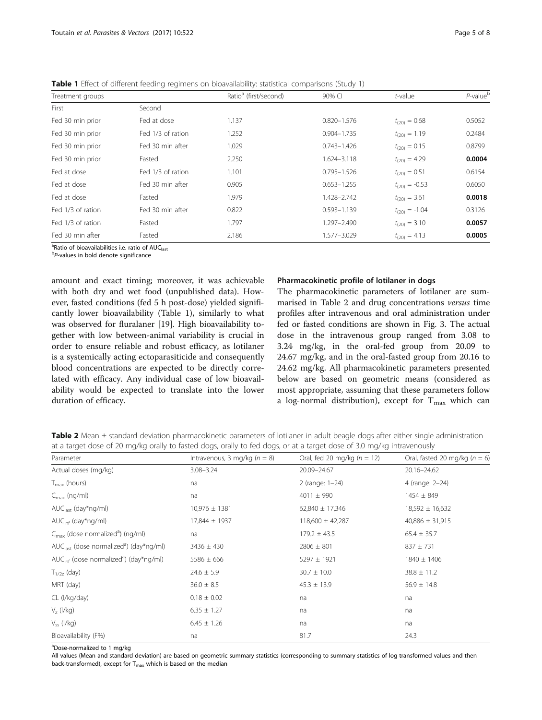| Treatment groups  |                   | Ratio <sup>a</sup> (first/second) | 90% CI          | $t$ -value         | $P$ -value $b$ |
|-------------------|-------------------|-----------------------------------|-----------------|--------------------|----------------|
| First             | Second            |                                   |                 |                    |                |
| Fed 30 min prior  | Fed at dose       | 1.137                             | $0.820 - 1.576$ | $t_{(20)} = 0.68$  | 0.5052         |
| Fed 30 min prior  | Fed 1/3 of ration | 1.252                             | $0.904 - 1.735$ | $t_{(20)} = 1.19$  | 0.2484         |
| Fed 30 min prior  | Fed 30 min after  | 1.029                             | $0.743 - 1.426$ | $t_{(20)} = 0.15$  | 0.8799         |
| Fed 30 min prior  | Fasted            | 2.250                             | 1.624-3.118     | $t_{(20)} = 4.29$  | 0.0004         |
| Fed at dose       | Fed 1/3 of ration | 1.101                             | $0.795 - 1.526$ | $t_{(20)} = 0.51$  | 0.6154         |
| Fed at dose       | Fed 30 min after  | 0.905                             | $0.653 - 1.255$ | $t_{(20)} = -0.53$ | 0.6050         |
| Fed at dose       | Fasted            | 1.979                             | 1.428-2.742     | $t_{(20)} = 3.61$  | 0.0018         |
| Fed 1/3 of ration | Fed 30 min after  | 0.822                             | $0.593 - 1.139$ | $t_{(20)} = -1.04$ | 0.3126         |
| Fed 1/3 of ration | Fasted            | 1.797                             | 1.297-2.490     | $t_{(20)} = 3.10$  | 0.0057         |
| Fed 30 min after  | Fasted            | 2.186                             | 1.577-3.029     | $t_{(20)} = 4.13$  | 0.0005         |

<span id="page-4-0"></span>Table 1 Effect of different feeding regimens on bioavailability: statistical comparisons (Study 1)

<sup>a</sup>Ratio of bioavailabilities i.e. ratio of AUC<sub>last</sub><br><sup>b</sup>R values in hold denote significance

 ${}^{b}P$ -values in bold denote significance

amount and exact timing; moreover, it was achievable with both dry and wet food (unpublished data). However, fasted conditions (fed 5 h post-dose) yielded significantly lower bioavailability (Table 1), similarly to what was observed for fluralaner [[19\]](#page-7-0). High bioavailability together with low between-animal variability is crucial in order to ensure reliable and robust efficacy, as lotilaner is a systemically acting ectoparasiticide and consequently blood concentrations are expected to be directly correlated with efficacy. Any individual case of low bioavailability would be expected to translate into the lower duration of efficacy.

#### Pharmacokinetic profile of lotilaner in dogs

The pharmacokinetic parameters of lotilaner are summarised in Table 2 and drug concentrations versus time profiles after intravenous and oral administration under fed or fasted conditions are shown in Fig. [3.](#page-5-0) The actual dose in the intravenous group ranged from 3.08 to 3.24 mg/kg, in the oral-fed group from 20.09 to 24.67 mg/kg, and in the oral-fasted group from 20.16 to 24.62 mg/kg. All pharmacokinetic parameters presented below are based on geometric means (considered as most appropriate, assuming that these parameters follow a log-normal distribution), except for  $T_{\text{max}}$  which can

Table 2 Mean ± standard deviation pharmacokinetic parameters of lotilaner in adult beagle dogs after either single administration at a target dose of 20 mg/kg orally to fasted dogs, orally to fed dogs, or at a target dose of 3.0 mg/kg intravenously

| Parameter                                                      | Intravenous, 3 mg/kg ( $n = 8$ ) | Oral, fed 20 mg/kg ( $n = 12$ ) | Oral, fasted 20 mg/kg ( $n = 6$ ) |
|----------------------------------------------------------------|----------------------------------|---------------------------------|-----------------------------------|
| Actual doses (mg/kg)                                           | $3.08 - 3.24$                    | 20.09-24.67                     | 20.16-24.62                       |
| $T_{\text{max}}$ (hours)                                       | na                               | 2 (range: 1-24)                 | 4 (range: 2-24)                   |
| $C_{\text{max}}$ (ng/ml)                                       | na                               | $4011 \pm 990$                  | $1454 \pm 849$                    |
| AUC <sub>last</sub> (day*ng/ml)                                | $10,976 \pm 1381$                | $62,840 \pm 17,346$             | $18,592 \pm 16,632$               |
| $AUC_{\text{inf}}$ (day*ng/ml)                                 | 17,844 ± 1937                    | $118,600 \pm 42,287$            | $40,886 \pm 31,915$               |
| $C_{\text{max}}$ (dose normalized <sup>a</sup> ) (ng/ml)       | na                               | $179.2 \pm 43.5$                | $65.4 \pm 35.7$                   |
| $AUClast$ (dose normalized <sup>a</sup> ) (day*ng/ml)          | $3436 \pm 430$                   | $2806 \pm 801$                  | $837 \pm 731$                     |
| $AUC_{\text{inf}}$ (dose normalized <sup>a</sup> ) (day*ng/ml) | $5586 \pm 666$                   | $5297 \pm 1921$                 | $1840 \pm 1406$                   |
| $T_{1/2z}$ (day)                                               | $24.6 \pm 5.9$                   | $30.7 \pm 10.0$                 | $38.8 \pm 11.2$                   |
| MRT (day)                                                      | $36.0 \pm 8.5$                   | $45.3 \pm 13.9$                 | $56.9 \pm 14.8$                   |
| CL (l/kg/day)                                                  | $0.18 \pm 0.02$                  | na                              | na                                |
| $V_{7}$ (I/kg)                                                 | $6.35 \pm 1.27$                  | na                              | na                                |
| $V_{ss}$ ( $I/kg$ )                                            | $6.45 \pm 1.26$                  | na                              | na                                |
| Bioavailability (F%)                                           | na                               | 81.7                            | 24.3                              |

<sup>a</sup>Dose-normalized to 1 mg/kg

All values (Mean and standard deviation) are based on geometric summary statistics (corresponding to summary statistics of log transformed values and then back-transformed), except for  $T_{\text{max}}$  which is based on the median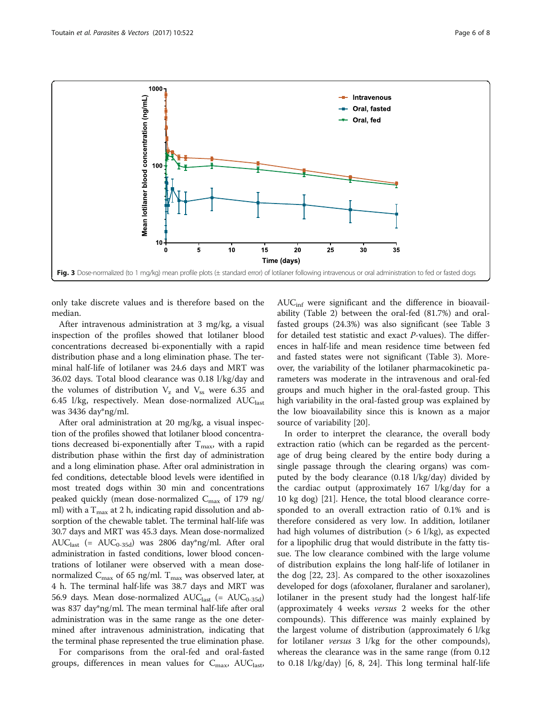<span id="page-5-0"></span>

only take discrete values and is therefore based on the median.

After intravenous administration at 3 mg/kg, a visual inspection of the profiles showed that lotilaner blood concentrations decreased bi-exponentially with a rapid distribution phase and a long elimination phase. The terminal half-life of lotilaner was 24.6 days and MRT was 36.02 days. Total blood clearance was 0.18 l/kg/day and the volumes of distribution  $V<sub>z</sub>$  and  $V<sub>ss</sub>$  were 6.35 and 6.45 l/kg, respectively. Mean dose-normalized  $AUC<sub>last</sub>$ was 3436 day\*ng/ml.

After oral administration at 20 mg/kg, a visual inspection of the profiles showed that lotilaner blood concentrations decreased bi-exponentially after  $T_{\text{max}}$ , with a rapid distribution phase within the first day of administration and a long elimination phase. After oral administration in fed conditions, detectable blood levels were identified in most treated dogs within 30 min and concentrations peaked quickly (mean dose-normalized  $C_{\text{max}}$  of 179 ng/ ml) with a  $T_{\text{max}}$  at 2 h, indicating rapid dissolution and absorption of the chewable tablet. The terminal half-life was 30.7 days and MRT was 45.3 days. Mean dose-normalized AUC<sub>last</sub> (= AUC<sub>0-35d</sub>) was 2806 day\*ng/ml. After oral administration in fasted conditions, lower blood concentrations of lotilaner were observed with a mean dosenormalized  $C_{\text{max}}$  of 65 ng/ml.  $T_{\text{max}}$  was observed later, at 4 h. The terminal half-life was 38.7 days and MRT was 56.9 days. Mean dose-normalized  $AUC_{last}$  (=  $AUC_{0-35d}$ ) was 837 day\*ng/ml. The mean terminal half-life after oral administration was in the same range as the one determined after intravenous administration, indicating that the terminal phase represented the true elimination phase.

For comparisons from the oral-fed and oral-fasted groups, differences in mean values for  $C_{\text{max}}$ , AUC<sub>last</sub>,  $AUC<sub>inf</sub>$  were significant and the difference in bioavailability (Table [2\)](#page-4-0) between the oral-fed (81.7%) and oralfasted groups (24.3%) was also significant (see Table [3](#page-6-0) for detailed test statistic and exact P-values). The differences in half-life and mean residence time between fed and fasted states were not significant (Table [3\)](#page-6-0). Moreover, the variability of the lotilaner pharmacokinetic parameters was moderate in the intravenous and oral-fed groups and much higher in the oral-fasted group. This high variability in the oral-fasted group was explained by the low bioavailability since this is known as a major source of variability [[20](#page-7-0)].

In order to interpret the clearance, the overall body extraction ratio (which can be regarded as the percentage of drug being cleared by the entire body during a single passage through the clearing organs) was computed by the body clearance (0.18 l/kg/day) divided by the cardiac output (approximately 167 l/kg/day for a 10 kg dog) [\[21](#page-7-0)]. Hence, the total blood clearance corresponded to an overall extraction ratio of 0.1% and is therefore considered as very low. In addition, lotilaner had high volumes of distribution  $(> 6 \frac{1}{kg})$ , as expected for a lipophilic drug that would distribute in the fatty tissue. The low clearance combined with the large volume of distribution explains the long half-life of lotilaner in the dog [\[22, 23](#page-7-0)]. As compared to the other isoxazolines developed for dogs (afoxolaner, fluralaner and sarolaner), lotilaner in the present study had the longest half-life (approximately 4 weeks versus 2 weeks for the other compounds). This difference was mainly explained by the largest volume of distribution (approximately 6 l/kg for lotilaner *versus* 3 l/kg for the other compounds), whereas the clearance was in the same range (from 0.12 to 0.18 l/kg/day) [\[6](#page-7-0), [8, 24\]](#page-7-0). This long terminal half-life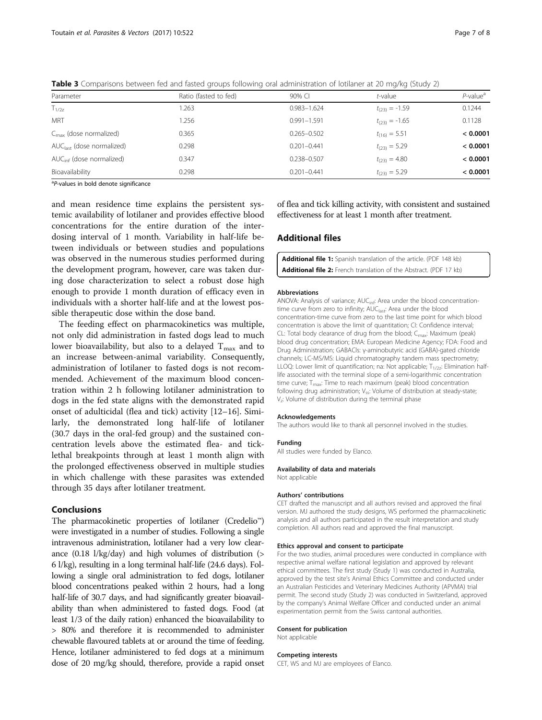| Parameter                             | Ratio (fasted to fed) | $90\%$ CI       | t-value            | $P$ -value <sup>a</sup> |
|---------------------------------------|-----------------------|-----------------|--------------------|-------------------------|
| $T_{1/2z}$                            | .263                  | $0.983 - 1.624$ | $t_{(23)} = -1.59$ | 0.1244                  |
| <b>MRT</b>                            | 1.256                 | $0.991 - 1.591$ | $t_{(23)} = -1.65$ | 0.1128                  |
| $C_{\text{max}}$ (dose normalized)    | 0.365                 | $0.265 - 0.502$ | $t_{(16)} = 5.51$  | < 0.0001                |
| AUC <sub>last</sub> (dose normalized) | 0.298                 | $0.201 - 0.441$ | $t_{(23)} = 5.29$  | < 0.0001                |
| AUC <sub>inf</sub> (dose normalized)  | 0.347                 | 0.238-0.507     | $t_{(23)} = 4.80$  | < 0.0001                |
| Bioavailability                       | 0.298                 | $0.201 - 0.441$ | $t_{(23)} = 5.29$  | < 0.0001                |

<span id="page-6-0"></span>Table 3 Comparisons between fed and fasted groups following oral administration of lotilaner at 20 mg/kg (Study 2)

<sup>a</sup>P-values in bold denote significance

and mean residence time explains the persistent systemic availability of lotilaner and provides effective blood concentrations for the entire duration of the interdosing interval of 1 month. Variability in half-life between individuals or between studies and populations was observed in the numerous studies performed during the development program, however, care was taken during dose characterization to select a robust dose high enough to provide 1 month duration of efficacy even in individuals with a shorter half-life and at the lowest possible therapeutic dose within the dose band.

The feeding effect on pharmacokinetics was multiple, not only did administration in fasted dogs lead to much lower bioavailability, but also to a delayed  $T_{\text{max}}$  and to an increase between-animal variability. Consequently, administration of lotilaner to fasted dogs is not recommended. Achievement of the maximum blood concentration within 2 h following lotilaner administration to dogs in the fed state aligns with the demonstrated rapid onset of adulticidal (flea and tick) activity [[12](#page-7-0)–[16](#page-7-0)]. Similarly, the demonstrated long half-life of lotilaner (30.7 days in the oral-fed group) and the sustained concentration levels above the estimated flea- and ticklethal breakpoints through at least 1 month align with the prolonged effectiveness observed in multiple studies in which challenge with these parasites was extended through 35 days after lotilaner treatment.

#### Conclusions

The pharmacokinetic properties of lotilaner (Credelio™) were investigated in a number of studies. Following a single intravenous administration, lotilaner had a very low clearance (0.18 l/kg/day) and high volumes of distribution (> 6 l/kg), resulting in a long terminal half-life (24.6 days). Following a single oral administration to fed dogs, lotilaner blood concentrations peaked within 2 hours, had a long half-life of 30.7 days, and had significantly greater bioavailability than when administered to fasted dogs. Food (at least 1/3 of the daily ration) enhanced the bioavailability to > 80% and therefore it is recommended to administer chewable flavoured tablets at or around the time of feeding. Hence, lotilaner administered to fed dogs at a minimum dose of 20 mg/kg should, therefore, provide a rapid onset of flea and tick killing activity, with consistent and sustained effectiveness for at least 1 month after treatment.

## Additional files

[Additional file 1:](dx.doi.org/10.1186/s13071-017-2475-z) Spanish translation of the article. (PDF 148 kb) [Additional file 2:](dx.doi.org/10.1186/s13071-017-2475-z) French translation of the Abstract. (PDF 17 kb)

#### Abbreviations

ANOVA: Analysis of variance: AUC<sub>inf:</sub> Area under the blood concentrationtime curve from zero to infinity; AUC<sub>last</sub>: Area under the blood concentration-time curve from zero to the last time point for which blood concentration is above the limit of quantitation; CI: Confidence interval; CL: Total body clearance of drug from the blood;  $C_{\text{max}}$ : Maximum (peak) blood drug concentration; EMA: European Medicine Agency; FDA: Food and Drug Administration; GABACls: γ-aminobutyric acid (GABA)-gated chloride channels; LC-MS/MS: Liquid chromatography tandem mass spectrometry; LLOQ: Lower limit of quantification; na: Not applicable;  $T_{1/2z}$ : Elimination halflife associated with the terminal slope of a semi-logarithmic concentration time curve; T<sub>max</sub>: Time to reach maximum (peak) blood concentration following drug administration;  $V_{ss}$ : Volume of distribution at steady-state; V<sub>z</sub>: Volume of distribution during the terminal phase

#### Acknowledgements

The authors would like to thank all personnel involved in the studies.

#### Funding

All studies were funded by Elanco.

#### Availability of data and materials

Not applicable

#### Authors' contributions

CET drafted the manuscript and all authors revised and approved the final version. MJ authored the study designs, WS performed the pharmacokinetic analysis and all authors participated in the result interpretation and study completion. All authors read and approved the final manuscript.

#### Ethics approval and consent to participate

For the two studies, animal procedures were conducted in compliance with respective animal welfare national legislation and approved by relevant ethical committees. The first study (Study 1) was conducted in Australia, approved by the test site's Animal Ethics Committee and conducted under an Australian Pesticides and Veterinary Medicines Authority (APVMA) trial permit. The second study (Study 2) was conducted in Switzerland, approved by the company's Animal Welfare Officer and conducted under an animal experimentation permit from the Swiss cantonal authorities.

#### Consent for publication

Not applicable

#### Competing interests

CET, WS and MJ are employees of Elanco.